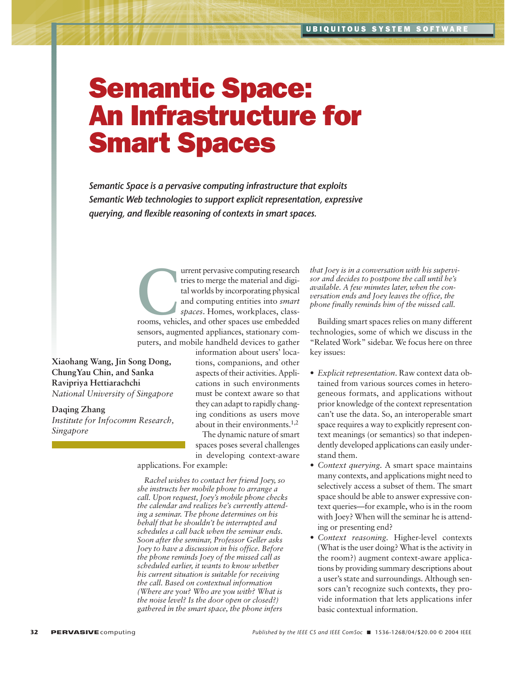# Semantic Space: An Infrastructure for Smart Spaces

*Semantic Space is a pervasive computing infrastructure that exploits Semantic Web technologies to support explicit representation, expressive querying, and flexible reasoning of contexts in smart spaces.*

> Turrent pervasive computing research<br>
> tries to merge the material and digital worlds by incorporating physical<br>
> and computing entities into *smart*<br>
> spaces. Homes, workplaces, class-<br>
> rooms, vehicles, and other spaces use tries to merge the material and digital worlds by incorporating physical and computing entities into *smart spaces*. Homes, workplaces, classsensors, augmented appliances, stationary computers, and mobile handheld devices to gather

**Xiaohang Wang, Jin Song Dong, ChungYau Chin, and Sanka Ravipriya Hettiarachchi**  *National University of Singapore*

**Daqing Zhang**  *Institute for Infocomm Research, Singapore*

information about users' locations, companions, and other aspects of their activities. Applications in such environments must be context aware so that they can adapt to rapidly changing conditions as users move about in their environments.1,2

The dynamic nature of smart spaces poses several challenges in developing context-aware

applications. For example:

*Rachel wishes to contact her friend Joey, so she instructs her mobile phone to arrange a call. Upon request, Joey's mobile phone checks the calendar and realizes he's currently attending a seminar. The phone determines on his behalf that he shouldn't be interrupted and schedules a call back when the seminar ends. Soon after the seminar, Professor Geller asks Joey to have a discussion in his office. Before the phone reminds Joey of the missed call as scheduled earlier, it wants to know whether his current situation is suitable for receiving the call. Based on contextual information (Where are you? Who are you with? What is the noise level? Is the door open or closed?) gathered in the smart space, the phone infers*

*that Joey is in a conversation with his supervisor and decides to postpone the call until he's available. A few minutes later, when the conversation ends and Joey leaves the office, the phone finally reminds him of the missed call.*

Building smart spaces relies on many different technologies, some of which we discuss in the "Related Work" sidebar. We focus here on three key issues:

- *Explicit representation*. Raw context data obtained from various sources comes in heterogeneous formats, and applications without prior knowledge of the context representation can't use the data. So, an interoperable smart space requires a way to explicitly represent context meanings (or semantics) so that independently developed applications can easily understand them.
- *Context querying.* A smart space maintains many contexts, and applications might need to selectively access a subset of them. The smart space should be able to answer expressive context queries—for example, who is in the room with Joey? When will the seminar he is attending or presenting end?
- *Context reasoning.* Higher-level contexts (What is the user doing? What is the activity in the room?) augment context-aware applications by providing summary descriptions about a user's state and surroundings. Although sensors can't recognize such contexts, they provide information that lets applications infer basic contextual information.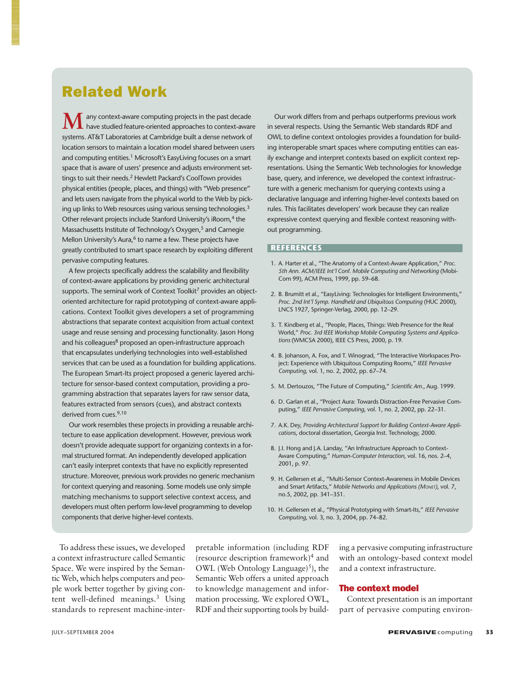# Related Work

**M** any context-aware computing projects in the past decade have studied feature-oriented approaches to context-aware systems. AT&T Laboratories at Cambridge built a dense network of location sensors to maintain a location model shared between users and computing entities.<sup>1</sup> Microsoft's EasyLiving focuses on a smart space that is aware of users' presence and adjusts environment settings to suit their needs.2 Hewlett Packard's CoolTown provides physical entities (people, places, and things) with "Web presence" and lets users navigate from the physical world to the Web by picking up links to Web resources using various sensing technologies.<sup>3</sup> Other relevant projects include Stanford University's iRoom,<sup>4</sup> the Massachusetts Institute of Technology's Oxygen,<sup>5</sup> and Carnegie Mellon University's Aura,<sup>6</sup> to name a few. These projects have greatly contributed to smart space research by exploiting different pervasive computing features.

A few projects specifically address the scalability and flexibility of context-aware applications by providing generic architectural supports. The seminal work of Context Toolkit<sup>7</sup> provides an objectoriented architecture for rapid prototyping of context-aware applications. Context Toolkit gives developers a set of programming abstractions that separate context acquisition from actual context usage and reuse sensing and processing functionality. Jason Hong and his colleagues<sup>8</sup> proposed an open-infrastructure approach that encapsulates underlying technologies into well-established services that can be used as a foundation for building applications. The European Smart-Its project proposed a generic layered architecture for sensor-based context computation, providing a programming abstraction that separates layers for raw sensor data, features extracted from sensors (cues), and abstract contexts derived from cues.9,10

Our work resembles these projects in providing a reusable architecture to ease application development. However, previous work doesn't provide adequate support for organizing contexts in a formal structured format. An independently developed application can't easily interpret contexts that have no explicitly represented structure. Moreover, previous work provides no generic mechanism for context querying and reasoning. Some models use only simple matching mechanisms to support selective context access, and developers must often perform low-level programming to develop components that derive higher-level contexts.

Our work differs from and perhaps outperforms previous work in several respects. Using the Semantic Web standards RDF and OWL to define context ontologies provides a foundation for building interoperable smart spaces where computing entities can easily exchange and interpret contexts based on explicit context representations. Using the Semantic Web technologies for knowledge base, query, and inference, we developed the context infrastructure with a generic mechanism for querying contexts using a declarative language and inferring higher-level contexts based on rules. This facilitates developers' work because they can realize expressive context querying and flexible context reasoning without programming.

#### **REFERENCES**

- 1. A. Harter et al., "The Anatomy of a Context-Aware Application," *Proc. 5th Ann. ACM/IEEE Int'l Conf. Mobile Computing and Networking* (Mobi-Com 99), ACM Press, 1999, pp. 59–68.
- 2. B. Brumitt et al., "EasyLiving: Technologies for Intelligent Environments," *Proc. 2nd Int'l Symp. Handheld and Ubiquitous Computing* (HUC 2000), LNCS 1927, Springer-Verlag, 2000, pp. 12–29.
- 3. T. Kindberg et al., "People, Places, Things: Web Presence for the Real World," *Proc. 3rd IEEE Workshop Mobile Computing Systems and Applications* (WMCSA 2000), IEEE CS Press, 2000, p. 19.
- 4. B. Johanson, A. Fox, and T. Winograd, "The Interactive Workspaces Project: Experience with Ubiquitous Computing Rooms," *IEEE Pervasive Computing*, vol. 1, no. 2, 2002, pp. 67–74.
- 5. M. Dertouzos, "The Future of Computing," *Scientific Am.*, Aug. 1999.
- 6. D. Garlan et al., "Project Aura: Towards Distraction-Free Pervasive Computing," *IEEE Pervasive Computing*, vol. 1, no. 2, 2002, pp. 22–31.
- 7. A.K. Dey, *Providing Architectural Support for Building Context-Aware Applications*, doctoral dissertation, Georgia Inst. Technology, 2000.
- 8. J.I. Hong and J.A. Landay, "An Infrastructure Approach to Context-Aware Computing," *Human-Computer Interaction*, vol. 16, nos. 2–4, 2001, p. 97.
- 9. H. Gellersen et al., "Multi-Sensor Context-Awareness in Mobile Devices and Smart Artifacts," *Mobile Networks and Applications (MONET)*, vol. 7, no.5, 2002, pp. 341–351.
- 10. H. Gellersen et al., "Physical Prototyping with Smart-Its," *IEEE Pervasive Computing*, vol. 3, no. 3, 2004, pp. 74–82.

To address these issues, we developed a context infrastructure called Semantic Space. We were inspired by the Semantic Web, which helps computers and people work better together by giving content well-defined meanings.<sup>3</sup> Using standards to represent machine-interpretable information (including RDF (resource description framework)<sup>4</sup> and OWL (Web Ontology Language)<sup>5</sup>), the Semantic Web offers a united approach to knowledge management and information processing. We explored OWL, RDF and their supporting tools by building a pervasive computing infrastructure with an ontology-based context model and a context infrastructure.

# The context model

Context presentation is an important part of pervasive computing environ-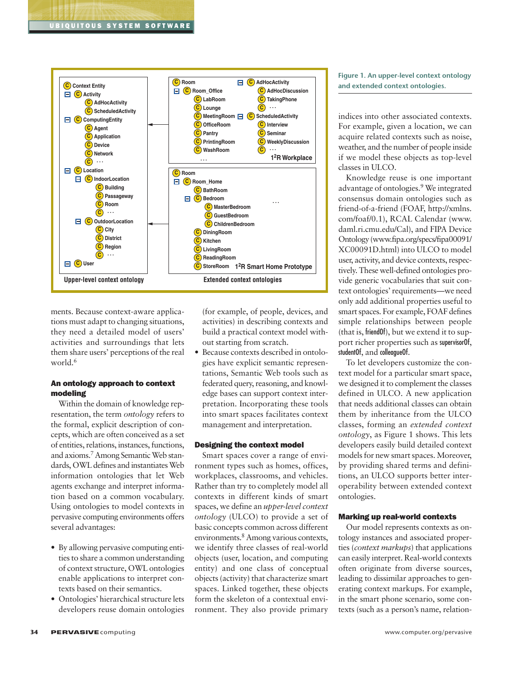

ments. Because context-aware applications must adapt to changing situations, they need a detailed model of users' activities and surroundings that lets them share users' perceptions of the real world.<sup>6</sup>

# An ontology approach to context modeling

Within the domain of knowledge representation, the term *ontology* refers to the formal, explicit description of concepts, which are often conceived as a set of entities, relations, instances, functions, and axioms.7 Among Semantic Web standards, OWL defines and instantiates Web information ontologies that let Web agents exchange and interpret information based on a common vocabulary. Using ontologies to model contexts in pervasive computing environments offers several advantages:

- By allowing pervasive computing entities to share a common understanding of context structure, OWL ontologies enable applications to interpret contexts based on their semantics.
- Ontologies' hierarchical structure lets developers reuse domain ontologies

(for example, of people, devices, and activities) in describing contexts and build a practical context model without starting from scratch.

• Because contexts described in ontologies have explicit semantic representations, Semantic Web tools such as federated query, reasoning, and knowledge bases can support context interpretation. Incorporating these tools into smart spaces facilitates context management and interpretation.

#### Designing the context model

Smart spaces cover a range of environment types such as homes, offices, workplaces, classrooms, and vehicles. Rather than try to completely model all contexts in different kinds of smart spaces, we define an *upper-level context ontology* (ULCO) to provide a set of basic concepts common across different environments.8 Among various contexts, we identify three classes of real-world objects (user, location, and computing entity) and one class of conceptual objects (activity) that characterize smart spaces. Linked together, these objects form the skeleton of a contextual environment. They also provide primary

# **Figure 1. An upper-level context ontology**

indices into other associated contexts. For example, given a location, we can acquire related contexts such as noise, weather, and the number of people inside if we model these objects as top-level classes in ULCO.

Knowledge reuse is one important advantage of ontologies.<sup>9</sup> We integrated consensus domain ontologies such as friend-of-a-friend (FOAF, http://xmlns. com/foaf/0.1), RCAL Calendar (www. daml.ri.cmu.edu/Cal), and FIPA Device Ontology (www.fipa.org/specs/fipa00091/ XC00091D.html) into ULCO to model user, activity, and device contexts, respectively. These well-defined ontologies provide generic vocabularies that suit context ontologies' requirements—we need only add additional properties useful to smart spaces. For example, FOAF defines simple relationships between people (that is, friendOf), but we extend it to support richer properties such as supervisor0f, studentOf, and colleagueOf.

To let developers customize the context model for a particular smart space, we designed it to complement the classes defined in ULCO. A new application that needs additional classes can obtain them by inheritance from the ULCO classes, forming an *extended context ontology*, as Figure 1 shows. This lets developers easily build detailed context models for new smart spaces. Moreover, by providing shared terms and definitions, an ULCO supports better interoperability between extended context ontologies.

# Marking up real-world contexts

Our model represents contexts as ontology instances and associated properties (*context markups*) that applications can easily interpret. Real-world contexts often originate from diverse sources, leading to dissimilar approaches to generating context markups. For example, in the smart phone scenario, some contexts (such as a person's name, relation-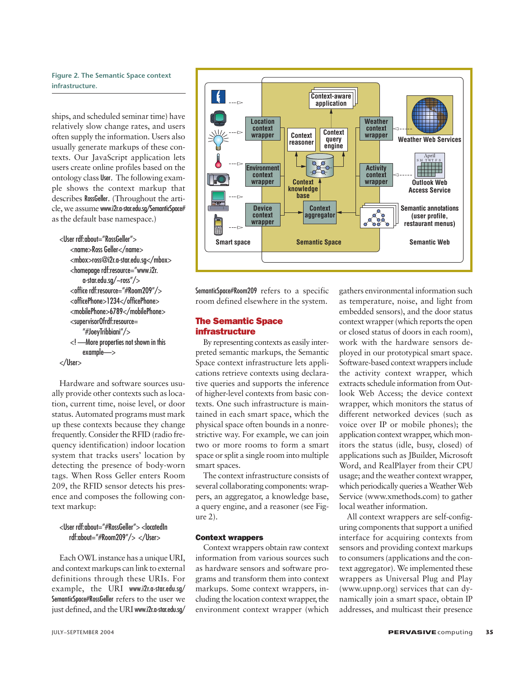# **Figure 2. The Semantic Space context infrastructure.**

ships, and scheduled seminar time) have relatively slow change rates, and users often supply the information. Users also usually generate markups of these contexts. Our JavaScript application lets users create online profiles based on the ontology class User. The following example shows the context markup that describes RossGeller. (Throughout the article, we assume www.i2r.a-star.edu.sg/SemanticSpace# as the default base namespace.)

<User rdf:about="RossGeller"> <name>Ross Geller</name> <mbox>ross@i2r.a-star.edu.sg</mbox> <homepage rdf:resource="www.i2r. a-star.edu.sg/~ross"/> <office rdf:resource="#Room209"/> <officePhone>1234</officePhone> <mobilePhone>6789</mobilePhone> <supervisorOfrdf:resource= "#JoeyTribbiani"/> <! —More properties not shown in this example—> </User>

Hardware and software sources usually provide other contexts such as location, current time, noise level, or door status. Automated programs must mark up these contexts because they change frequently. Consider the RFID (radio frequency identification) indoor location system that tracks users' location by detecting the presence of body-worn tags. When Ross Geller enters Room 209, the RFID sensor detects his presence and composes the following context markup:

# <User rdf:about="#RossGeller"> <locatedIn rdf:about="#Room209"/> </User>

Each OWL instance has a unique URI, and context markups can link to external definitions through these URIs. For example, the URI www.i2r.a-star.edu.sg/ SemanticSpace#RossGeller refers to the user we just defined, and the URI www.i2r.a-star.edu.sg/



SemanticSpace#Room209 refers to a specific room defined elsewhere in the system.

# The Semantic Space infrastructure

By representing contexts as easily interpreted semantic markups, the Semantic Space context infrastructure lets applications retrieve contexts using declarative queries and supports the inference of higher-level contexts from basic contexts. One such infrastructure is maintained in each smart space, which the physical space often bounds in a nonrestrictive way. For example, we can join two or more rooms to form a smart space or split a single room into multiple smart spaces.

The context infrastructure consists of several collaborating components: wrappers, an aggregator, a knowledge base, a query engine, and a reasoner (see Figure 2).

#### Context wrappers

Context wrappers obtain raw context information from various sources such as hardware sensors and software programs and transform them into context markups. Some context wrappers, including the location context wrapper, the environment context wrapper (which

gathers environmental information such as temperature, noise, and light from embedded sensors), and the door status context wrapper (which reports the open or closed status of doors in each room), work with the hardware sensors deployed in our prototypical smart space. Software-based context wrappers include the activity context wrapper, which extracts schedule information from Outlook Web Access; the device context wrapper, which monitors the status of different networked devices (such as voice over IP or mobile phones); the application context wrapper, which monitors the status (idle, busy, closed) of applications such as JBuilder, Microsoft Word, and RealPlayer from their CPU usage; and the weather context wrapper, which periodically queries a Weather Web Service (www.xmethods.com) to gather local weather information.

All context wrappers are self-configuring components that support a unified interface for acquiring contexts from sensors and providing context markups to consumers (applications and the context aggregator). We implemented these wrappers as Universal Plug and Play (www.upnp.org) services that can dynamically join a smart space, obtain IP addresses, and multicast their presence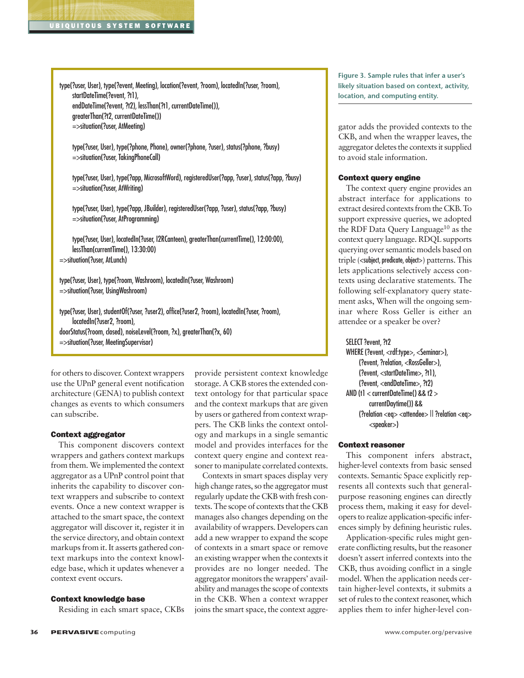type(?user, User), type(?event, Meeting), location(?event, ?room), locatedIn(?user, ?room), startDateTime(?event, ?t1), endDateTime(?event, ?t2), lessThan(?t1, currentDateTime()), greaterThan(?t2, currentDateTime()) =>situation(?user, AtMeeting)

type(?user, User), type(?phone, Phone), owner(?phone, ?user), status(?phone, ?busy) =>situation(?user, TakingPhoneCall)

type(?user, User), type(?app, MicrosoftWord), registeredUser(?app, ?user), status(?app, ?busy) =>situation(?user, AtWriting)

type(?user, User), type(?app, JBuilder), registeredUser(?app, ?user), status(?app, ?busy) =>situation(?user, AtProgramming)

type(?user, User), locatedIn(?user, I2RCanteen), greaterThan(currentTime(), 12:00:00), lessThan(currentTime(), 13:30:00) =>situation(?user, AtLunch)

type(?user, User), type(?room, Washroom), locatedIn(?user, Washroom) =>situation(?user, UsingWashroom)

type(?user, User), studentOf(?user, ?user2), office(?user2, ?room), locatedIn(?user, ?room), locatedIn(?user2, ?room), doorStatus(?room, closed), noiseLevel(?room, ?x), greaterThan(?x, 60) =>situation(?user, MeetingSupervisor)

for others to discover. Context wrappers use the UPnP general event notification architecture (GENA) to publish context changes as events to which consumers can subscribe.

#### Context aggregator

This component discovers context wrappers and gathers context markups from them. We implemented the context aggregator as a UPnP control point that inherits the capability to discover context wrappers and subscribe to context events. Once a new context wrapper is attached to the smart space, the context aggregator will discover it, register it in the service directory, and obtain context markups from it. It asserts gathered context markups into the context knowledge base, which it updates whenever a context event occurs.

#### Context knowledge base

Residing in each smart space, CKBs

provide persistent context knowledge storage. A CKB stores the extended context ontology for that particular space and the context markups that are given by users or gathered from context wrappers. The CKB links the context ontology and markups in a single semantic model and provides interfaces for the context query engine and context reasoner to manipulate correlated contexts.

Contexts in smart spaces display very high change rates, so the aggregator must regularly update the CKB with fresh contexts. The scope of contexts that the CKB manages also changes depending on the availability of wrappers. Developers can add a new wrapper to expand the scope of contexts in a smart space or remove an existing wrapper when the contexts it provides are no longer needed. The aggregator monitors the wrappers' availability and manages the scope of contexts in the CKB. When a context wrapper joins the smart space, the context aggre-

**Figure 3. Sample rules that infer a user's likely situation based on context, activity, location, and computing entity.**

gator adds the provided contexts to the CKB, and when the wrapper leaves, the aggregator deletes the contexts it supplied to avoid stale information.

#### Context query engine

The context query engine provides an abstract interface for applications to extract desired contexts from the CKB. To support expressive queries, we adopted the RDF Data Query Language<sup>10</sup> as the context query language. RDQL supports querying over semantic models based on triple (<subject, predicate, object>) patterns. This lets applications selectively access contexts using declarative statements. The following self-explanatory query statement asks, When will the ongoing seminar where Ross Geller is either an attendee or a speaker be over?

#### SELECT ?event, ?t2

WHERE (?event, <rdf:type>, <Seminar>), (?event, ?relation, <RossGeller>), (?event, <startDateTime>, ?t1), (?event, <endDateTime>, ?t2) AND (t1 < currentDateTime() && t2 > currentDaytime()) && (?relation <eq> <attendee> || ?relation <eq> <speaker>)

#### Context reasoner

This component infers abstract, higher-level contexts from basic sensed contexts. Semantic Space explicitly represents all contexts such that generalpurpose reasoning engines can directly process them, making it easy for developers to realize application-specific inferences simply by defining heuristic rules.

Application-specific rules might generate conflicting results, but the reasoner doesn't assert inferred contexts into the CKB, thus avoiding conflict in a single model. When the application needs certain higher-level contexts, it submits a set of rules to the context reasoner, which applies them to infer higher-level con-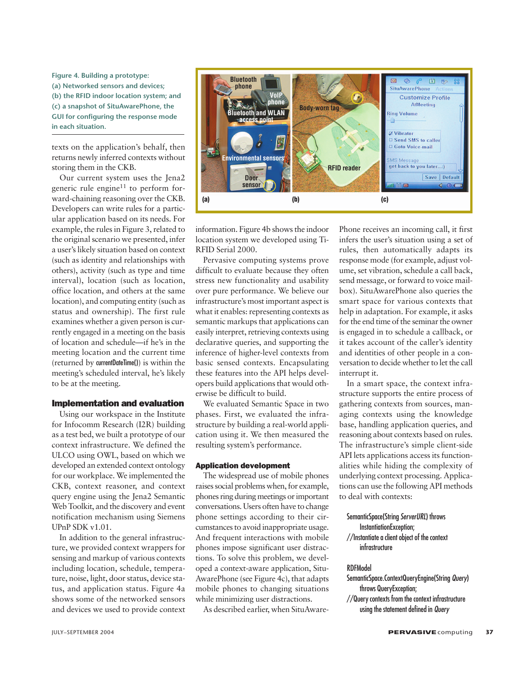**Figure 4. Building a prototype: (a) Networked sensors and devices; (b) the RFID indoor location system; and (c) a snapshot of SituAwarePhone, the GUI for configuring the response mode in each situation.**

texts on the application's behalf, then returns newly inferred contexts without storing them in the CKB.

Our current system uses the Jena2 generic rule engine<sup>11</sup> to perform forward-chaining reasoning over the CKB. Developers can write rules for a particular application based on its needs. For example, the rules in Figure 3, related to the original scenario we presented, infer a user's likely situation based on context (such as identity and relationships with others), activity (such as type and time interval), location (such as location, office location, and others at the same location), and computing entity (such as status and ownership). The first rule examines whether a given person is currently engaged in a meeting on the basis of location and schedule—if he's in the meeting location and the current time (returned by currentDateTime()) is within the meeting's scheduled interval, he's likely to be at the meeting.

## Implementation and evaluation

Using our workspace in the Institute for Infocomm Research (I2R) building as a test bed, we built a prototype of our context infrastructure. We defined the ULCO using OWL, based on which we developed an extended context ontology for our workplace. We implemented the CKB, context reasoner, and context query engine using the Jena2 Semantic Web Toolkit, and the discovery and event notification mechanism using Siemens UPnP SDK v1.01.

In addition to the general infrastructure, we provided context wrappers for sensing and markup of various contexts including location, schedule, temperature, noise, light, door status, device status, and application status. Figure 4a shows some of the networked sensors and devices we used to provide context



information. Figure 4b shows the indoor location system we developed using Ti-RFID Serial 2000.

Pervasive computing systems prove difficult to evaluate because they often stress new functionality and usability over pure performance. We believe our infrastructure's most important aspect is what it enables: representing contexts as semantic markups that applications can easily interpret, retrieving contexts using declarative queries, and supporting the inference of higher-level contexts from basic sensed contexts. Encapsulating these features into the API helps developers build applications that would otherwise be difficult to build.

We evaluated Semantic Space in two phases. First, we evaluated the infrastructure by building a real-world application using it. We then measured the resulting system's performance.

#### Application development

The widespread use of mobile phones raises social problems when, for example, phones ring during meetings or important conversations. Users often have to change phone settings according to their circumstances to avoid inappropriate usage. And frequent interactions with mobile phones impose significant user distractions. To solve this problem, we developed a context-aware application, Situ-AwarePhone (see Figure 4c), that adapts mobile phones to changing situations while minimizing user distractions.

As described earlier, when SituAware-

Phone receives an incoming call, it first infers the user's situation using a set of rules, then automatically adapts its response mode (for example, adjust volume, set vibration, schedule a call back, send message, or forward to voice mailbox). SituAwarePhone also queries the smart space for various contexts that help in adaptation. For example, it asks for the end time of the seminar the owner is engaged in to schedule a callback, or it takes account of the caller's identity and identities of other people in a conversation to decide whether to let the call interrupt it.

In a smart space, the context infrastructure supports the entire process of gathering contexts from sources, managing contexts using the knowledge base, handling application queries, and reasoning about contexts based on rules. The infrastructure's simple client-side API lets applications access its functionalities while hiding the complexity of underlying context processing. Applications can use the following API methods to deal with contexts:

# SemanticSpace(String ServerURL) throws InstantiationException; //Instantiate a client object of the context infrastructure

#### RDFModel

SemanticSpace.ContextQueryEngine(String Query) throws QueryException; //Query contexts from the context infrastructure

using the statement defined in Query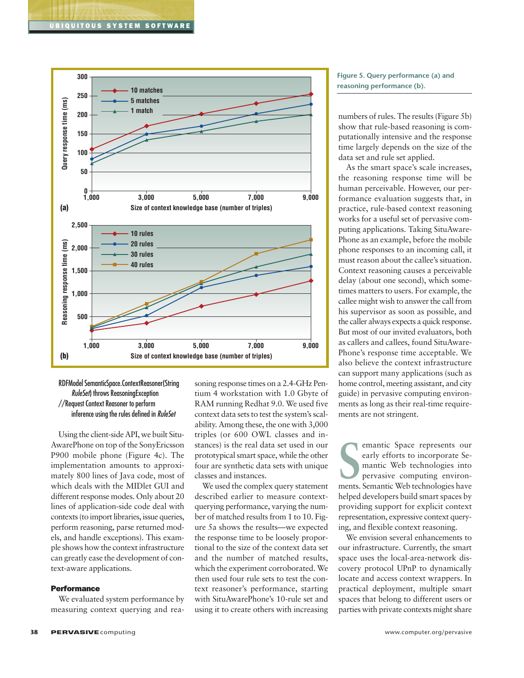

**Size of context knowledge base (number of triples)**

# RDFModel SemanticSpace.ContextReasoner(String RuleSet) throws ReasoningException //Request Context Reasoner to perform inference using the rules defined in RuleSet

UBIQUITOUS SYSTEM SOFTWARE

Using the client-side API, we built Situ-AwarePhone on top of the SonyEricsson P900 mobile phone (Figure 4c). The implementation amounts to approximately 800 lines of Java code, most of which deals with the MIDlet GUI and different response modes. Only about 20 lines of application-side code deal with contexts (to import libraries, issue queries, perform reasoning, parse returned models, and handle exceptions). This example shows how the context infrastructure can greatly ease the development of context-aware applications.

# **Performance**

**(b)**

We evaluated system performance by measuring context querying and reasoning response times on a 2.4-GHz Pentium 4 workstation with 1.0 Gbyte of RAM running Redhat 9.0. We used five context data sets to test the system's scalability. Among these, the one with 3,000 triples (or 600 OWL classes and instances) is the real data set used in our prototypical smart space, while the other four are synthetic data sets with unique classes and instances.

We used the complex query statement described earlier to measure contextquerying performance, varying the number of matched results from 1 to 10. Figure 5a shows the results—we expected the response time to be loosely proportional to the size of the context data set and the number of matched results, which the experiment corroborated. We then used four rule sets to test the context reasoner's performance, starting with SituAwarePhone's 10-rule set and using it to create others with increasing

## **Figure 5. Query performance (a) and reasoning performance (b).**

numbers of rules. The results (Figure 5b) show that rule-based reasoning is computationally intensive and the response time largely depends on the size of the data set and rule set applied.

As the smart space's scale increases, the reasoning response time will be human perceivable. However, our performance evaluation suggests that, in practice, rule-based context reasoning works for a useful set of pervasive computing applications. Taking SituAware-Phone as an example, before the mobile phone responses to an incoming call, it must reason about the callee's situation. Context reasoning causes a perceivable delay (about one second), which sometimes matters to users. For example, the callee might wish to answer the call from his supervisor as soon as possible, and the caller always expects a quick response. But most of our invited evaluators, both as callers and callees, found SituAware-Phone's response time acceptable. We also believe the context infrastructure can support many applications (such as home control, meeting assistant, and city guide) in pervasive computing environments as long as their real-time requirements are not stringent.

EXTERN THE SPACE THE SURVENTIN CONTRACT CONTRACT CONTRACT CONTRACT CONTRACT CONTRACT OF THE SEMANTIC WEB THAT CONTRACT CONTRACT CONTRACT CONTRACT CONTRACT CONTRACT CONTRACT CONTRACT CONTRACT CONTRACT CONTRACT CONTRACT CONT emantic Space represents our early efforts to incorporate Semantic Web technologies into pervasive computing environhelped developers build smart spaces by providing support for explicit context representation, expressive context querying, and flexible context reasoning.

We envision several enhancements to our infrastructure. Currently, the smart space uses the local-area-network discovery protocol UPnP to dynamically locate and access context wrappers. In practical deployment, multiple smart spaces that belong to different users or parties with private contexts might share